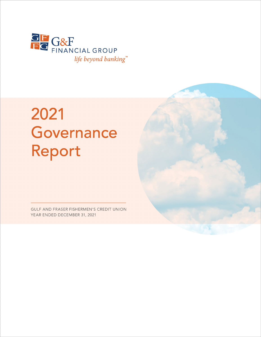

# 2021 Governance Report

GULF AND FRASER FISHERMEN'S CREDIT UNION YEAR ENDED DECEMBER 31, 2021

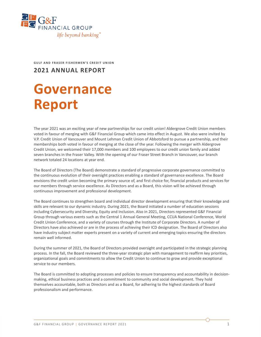

**GULF AND FRASER FISHERMEN'S CREDIT UNION**

## **2021 ANNUAL REPORT**

## **Governance Report**

The year 2021 was an exciting year of new partnerships for our credit union! Aldergrove Credit Union members voted in favour of merging with G&F Financial Group which came into effect in August. We also were invited by V.P. Credit Union of Vancouver and Mount Lehman Credit Union of Abbotsford to pursue a partnership, and their memberships both voted in favour of merging at the close of the year. Following the merger with Aldergrove Credit Union, we welcomed their 17,000 members and 100 employees to our credit union family and added seven branches in the Fraser Valley. With the opening of our Fraser Street Branch in Vancouver, our branch network totaled 24 locations at year end.

The Board of Directors (The Board) demonstrate a standard of progressive corporate governance committed to the continuous evolution of their oversight practices enabling a standard of governance excellence. The Board envisions the credit union becoming the primary source of, and first choice for, financial products and services for our members through service excellence. As Directors and as a Board, this vision will be achieved through continuous improvement and professional development.

The Board continues to strengthen board and individual director development ensuring that their knowledge and skills are relevant to our dynamic industry. During 2021, the Board initiated a number of education sessions including Cybersecurity and Diversity, Equity and Inclusion. Also in 2021, Directors represented G&F Financial Group through various events such as the Central 1 Annual General Meeting, CCUA National Conference, World Credit Union Conference, and a variety of courses through the Institute of Corporate Directors. A number of Directors have also achieved or are in the process of achieving their ICD designation. The Board of Directors also have industry subject matter experts present on a variety of current and emerging topics ensuring the directors remain well informed.

During the summer of 2021, the Board of Directors provided oversight and participated in the strategic planning process. In the fall, the Board reviewed the three-year strategic plan with management to reaffirm key priorities, organizational goals and commitments to allow the Credit Union to continue to grow and provide exceptional service to our members.

The Board is committed to adopting processes and policies to ensure transparency and accountability in decisionmaking, ethical business practices and a commitment to community and social development. They hold themselves accountable, both as Directors and as a Board, for adhering to the highest standards of Board professionalism and performance.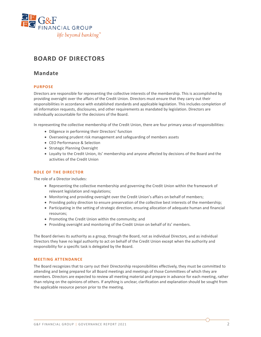

## **BOARD OF DIRECTORS**

## **Mandate**

#### **PURPOSE**

Directors are responsible for representing the collective interests of the membership. This is accomplished by providing oversight over the affairs of the Credit Union. Directors must ensure that they carry out their responsibilities in accordance with established standards and applicable legislation. This includes completion of all information requests, disclosures, and other requirements as mandated by legislation. Directors are individually accountable for the decisions of the Board.

In representing the collective membership of the Credit Union, there are four primary areas of responsibilities:

- Diligence in performing their Directors' function
- Overseeing prudent risk management and safeguarding of members assets
- CEO Performance & Selection
- Strategic Planning Oversight
- Loyalty to the Credit Union, its' membership and anyone affected by decisions of the Board and the activities of the Credit Union

#### **ROLE OF THE DIRECTOR**

The role of a Director includes:

- Representing the collective membership and governing the Credit Union within the framework of relevant legislation and regulations;
- Monitoring and providing oversight over the Credit Union's affairs on behalf of members;
- Providing policy direction to ensure preservation of the collective best interests of the membership;
- Participating in the setting of strategic direction, ensuring allocation of adequate human and financial resources;
- Promoting the Credit Union within the community; and
- Providing oversight and monitoring of the Credit Union on behalf of its' members.

The Board derives its authority as a group, through the Board, not as individual Directors, and as individual Directors they have no legal authority to act on behalf of the Credit Union except when the authority and responsibility for a specific task is delegated by the Board.

#### **MEETING ATTENDANCE**

The Board recognizes that to carry out their Directorship responsibilities effectively, they must be committed to attending and being prepared for all Board meetings and meetings of those Committees of which they are members. Directors are expected to review all meeting material and prepare in advance for each meeting, rather than relying on the opinions of others. If anything is unclear, clarification and explanation should be sought from the applicable resource person prior to the meeting.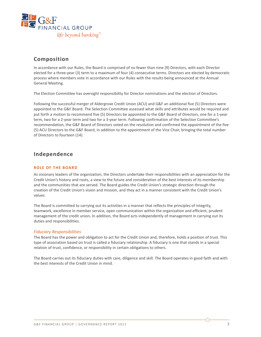

## **Composition**

In accordance with our Rules, the Board is comprised of no fewer than nine (9) Directors, with each Director elected for a three-year (3) term to a maximum of four (4) consecutive terms. Directors are elected by democratic process where members vote in accordance with our Rules with the results being announced at the Annual General Meeting.

The Election Committee has oversight responsibility for Director nominations and the election of Directors.

Following the successful merger of Aldergrove Credit Union (ACU) and G&F an additional five (5) Directors were appointed to the G&F Board. The Selection Committee assessed what skills and attributes would be required and put forth a motion to recommend five (5) Directors be appointed to the G&F Board of Directors, one for a 1-year term, two for a 2-year term and two for a 3-year term. Following confirmation of the Selection Committee's recommendation, the G&F Board of Directors voted on the resolution and confirmed the appointment of the five (5) ACU Directors to the G&F Board, in addition to the appointment of the Vice Chair, bringing the total number of Directors to fourteen (14).

## **Independence**

#### **ROLE OF THE BOARD**

As visionary leaders of the organization, the Directors undertake their responsibilities with an appreciation for the Credit Union's history and roots, a view to the future and consideration of the best interests of its membership and the communities that are served. The Board guides the Credit Union's strategic direction through the creation of the Credit Union's vision and mission, and they act in a manner consistent with the Credit Union's values.

The Board is committed to carrying out its activities in a manner that reflects the principles of integrity, teamwork, excellence in member service, open communication within the organization and efficient, prudent management of the credit union**.** In addition, the Board acts independently of management in carrying out its duties and responsibilities.

#### *Fiduciary Responsibilities*

The Board has the power and obligation to act for the Credit Union and, therefore, holds a position of trust. This type of association based on trust is called a fiduciary relationship. A fiduciary is one that stands in a special relation of trust, confidence, or responsibility in certain obligations to others.

The Board carries out its fiduciary duties with care, diligence and skill. The Board operates in good faith and with the best interests of the Credit Union in mind.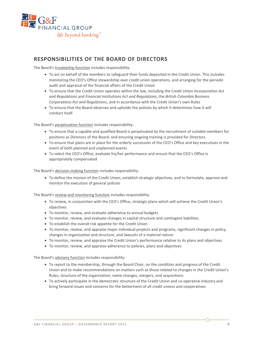

## **RESPONSIBILITIES OF THE BOARD OF DIRECTORS**

The Board's trusteeship function includes responsibility:

- To act on behalf of the members to safeguard their funds deposited in the Credit Union. This includes monitoring the CEO's Office stewardship over credit union operations, and arranging for the periodic audit and appraisal of the financial affairs of the Credit Union
- To ensure that the Credit Union operates within the law, including the C*redit Union Incorporation Act and Regulations* and *Financial Institutions Act and Regulations*, the *British Columbia Business Corporations Act and Regulations*, and in accordance with the Credit Union's own Rules
- To ensure that the Board observes and upholds the policies by which it determines how it will conduct itself

The Board's perpetuation function includes responsibility:

- To ensure that a capable and qualified Board is perpetuated by the recruitment of suitable members for positions as Directors of the Board, and ensuring ongoing training is provided for Directors
- To ensure that plans are in place for the orderly succession of the CEO's Office and key executives in the event of both planned and unplanned events
- To select the CEO's Office, evaluate his/her performance and ensure that the CEO's Office is appropriately compensated

The Board's decision-making function includes responsibility:

• To define the mission of the Credit Union, establish strategic objectives, and to formulate, approve and monitor the execution of general policies

The Board's review and monitoring function includes responsibility:

- To review, in conjunction with the CEO's Office, strategic plans which will achieve the Credit Union's objectives
- To monitor, review, and evaluate adherence to annual budgets
- To monitor, review, and evaluate changes in capital structure and contingent liabilities
- To establish the overall risk appetite for the Credit Union
- To monitor, review, and appraise major individual projects and programs, significant changes in policy, changes in organization and structure, and lawsuits of a material nature
- To monitor, review, and appraise the Credit Union's performance relative to its plans and objectives
- To monitor, review, and appraise adherence to policies, plans and objectives

The Board's advisory function includes responsibility:

- To report to the membership, through the Board Chair, on the condition and progress of the Credit Union and to make recommendations on matters such as those related to changes in the Credit Union's Rules, structure of the organization, name changes, mergers, and acquisitions
- To actively participate in the democratic structure of the Credit Union and co-operative industry and bring forward issues and concerns for the betterment of all credit unions and cooperatives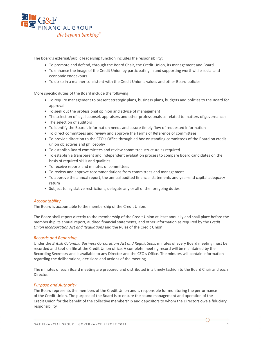

The Board's external/public leadership function includes the responsibility:

- To promote and defend, through the Board Chair, the Credit Union, its management and Board
- To enhance the image of the Credit Union by participating in and supporting worthwhile social and economic endeavours
- To do so in a manner consistent with the Credit Union's values and other Board policies

More specific duties of the Board include the following:

- To require management to present strategic plans, business plans, budgets and policies to the Board for approval
- To seek out the professional opinion and advice of management
- The selection of legal counsel, appraisers and other professionals as related to matters of governance;
- The selection of auditors
- To identify the Board's information needs and assure timely flow of requested information
- To direct committees and review and approve the Terms of Reference of committees
- To provide direction to the CEO's Office through ad hoc or standing committees of the Board on credit union objectives and philosophy
- To establish Board committees and review committee structure as required
- To establish a transparent and independent evaluation process to compare Board candidates on the basis of required skills and qualities
- To receive reports and minutes of committees
- To review and approve recommendations from committees and management
- To approve the annual report, the annual audited financial statements and year-end capital adequacy return
- Subject to legislative restrictions, delegate any or all of the foregoing duties

#### *Accountability*

The Board is accountable to the membership of the Credit Union.

The Board shall report directly to the membership of the Credit Union at least annually and shall place before the membership its annual report, audited financial statements, and other information as required by the *Credit Union Incorporation Act and Regulations* and the Rules of the Credit Union.

#### *Records and Reporting*

Under the *British Columbia Business Corporations Act and Regulations*, minutes of every Board meeting must be recorded and kept on file at the Credit Union office. A complete meeting record will be maintained by the Recording Secretary and is available to any Director and the CEO's Office. The minutes will contain information regarding the deliberations, decisions and actions of the meeting.

The minutes of each Board meeting are prepared and distributed in a timely fashion to the Board Chair and each Director.

#### *Purpose and Authority*

The Board represents the members of the Credit Union and is responsible for monitoring the performance of the Credit Union. The purpose of the Board is to ensure the sound management and operation of the Credit Union for the benefit of the collective membership and depositors to whom the Directors owe a fiduciary responsibility.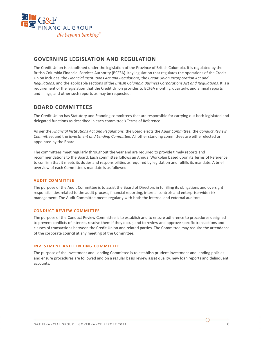

## **GOVERNING LEGISLATION AND REGULATION**

The Credit Union is established under the legislation of the Province of British Columbia. It is regulated by the British Columbia Financial Services Authority (BCFSA). Key legislation that regulates the operations of the Credit Union includes: the *Financial Institutions Act and Regulations,* the *Credit Union Incorporation Act and Regulations,* and the applicable sections of the *British Columbia Business Corporations Act and Regulations.* It is a requirement of the legislation that the Credit Union provides to BCFSA monthly, quarterly, and annual reports and filings, and other such reports as may be requested.

## **BOARD COMMITTEES**

The Credit Union has Statutory and Standing committees that are responsible for carrying out both legislated and delegated functions as described in each committee's Terms of Reference.

As per the *Financial Institutions Act and Regulations,* the Board elects the *Audit Committee,* the *Conduct Review Committee*, and the *Investment and Lending Committee*. All other standing committees are either elected or appointed by the Board.

The committees meet regularly throughout the year and are required to provide timely reports and recommendations to the Board. Each committee follows an Annual Workplan based upon its Terms of Reference to confirm that it meets its duties and responsibilities as required by legislation and fulfills its mandate. A brief overview of each Committee's mandate is as followed:

#### **AUDIT COMMITTEE**

The purpose of the Audit Committee is to assist the Board of Directors in fulfilling its obligations and oversight responsibilities related to the audit process, financial reporting, internal controls and enterprise-wide risk management. The Audit Committee meets regularly with both the internal and external auditors.

#### **CONDUCT REVIEW COMMITTEE**

The purpose of the Conduct Review Committee is to establish and to ensure adherence to procedures designed to prevent conflicts of interest, resolve them if they occur, and to review and approve specific transactions and classes of transactions between the Credit Union and related parties. The Committee may require the attendance of the corporate council at any meeting of the Committee.

#### **INVESTMENT AND LENDING COMMITTEE**

The purpose of the Investment and Lending Committee is to establish prudent investment and lending policies and ensure procedures are followed and on a regular basis review asset quality, new loan reports and delinquent accounts.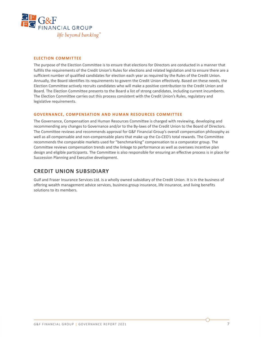

#### **ELECTION COMMITTEE**

The purpose of the Election Committee is to ensure that elections for Directors are conducted in a manner that fulfills the requirements of the Credit Union's Rules for elections and related legislation and to ensure there are a sufficient number of qualified candidates for election each year as required by the Rules of the Credit Union. Annually, the Board identifies its requirements to govern the Credit Union effectively. Based on these needs, the Election Committee actively recruits candidates who will make a positive contribution to the Credit Union and Board. The Election Committee presents to the Board a list of strong candidates, including current incumbents. The Election Committee carries out this process consistent with the Credit Union's Rules, regulatory and legislative requirements.

#### **GOVERNANCE, COMPENSATION AND HUMAN RESOURCES COMMITTEE**

The Governance, Compensation and Human Resources Committee is charged with reviewing, developing and recommending any changes to Governance and/or to the By-laws of the Credit Union to the Board of Directors. The Committee reviews and recommends approval for G&F Financial Group's overall compensation philosophy as well as all compensable and non-compensable plans that make up the Co-CEO's total rewards. The Committee recommends the comparable markets used for "benchmarking" compensation to a comparator group. The Committee reviews compensation trends and the linkage to performance as well as oversees incentive plan design and eligible participants. The Committee is also responsible for ensuring an effective process is in place for Succession Planning and Executive development.

### **CREDIT UNION SUBSIDIARY**

Gulf and Fraser Insurance Services Ltd. is a wholly owned subsidiary of the Credit Union. It is in the business of offering wealth management advice services, business group insurance, life insurance, and living benefits solutions to its members.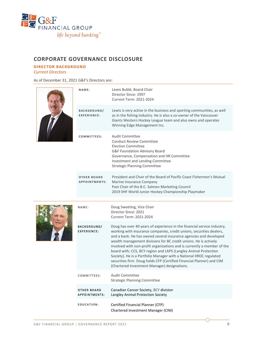

## **CORPORATE GOVERNANCE DISCLOSURE**

#### **DIRECTOR BACKGROUND**

*Current Directors*

As of December 31, 2021 G&F's Directors are:

|  | NAME:                                      | Lewis Bublé, Board Chair<br>Director Since: 1997<br><b>Current Term: 2021-2024</b>                                                                                                                                                                                                                                                                                                                                                                                                                                                                                                                                                     |
|--|--------------------------------------------|----------------------------------------------------------------------------------------------------------------------------------------------------------------------------------------------------------------------------------------------------------------------------------------------------------------------------------------------------------------------------------------------------------------------------------------------------------------------------------------------------------------------------------------------------------------------------------------------------------------------------------------|
|  | BACKGROUND/<br><b>EXPERIENCE:</b>          | Lewis is very active in the business and sporting communities, as well<br>as in the fishing industry. He is also a co-owner of the Vancouver<br>Giants Western Hockey League team and also owns and operates<br>Winning Edge Management Inc.                                                                                                                                                                                                                                                                                                                                                                                           |
|  | COMMITTEES:                                | Audit Committee<br>Conduct Review Committee<br><b>Election Committee</b><br><b>G&amp;F Foundation Advisory Board</b><br>Governance, Compensation and HR Committee<br>Investment and Lending Committee<br><b>Strategic Planning Committee</b>                                                                                                                                                                                                                                                                                                                                                                                           |
|  | <b>OTHER BOARD</b><br>APPOINTMENTS:        | President and Chair of the Board of Pacific Coast Fishermen's Mutual<br>Marine Insurance Company<br>Past Chair of the B.C. Salmon Marketing Council<br>2019 IIHF World Junior Hockey Championship Playmaker                                                                                                                                                                                                                                                                                                                                                                                                                            |
|  |                                            |                                                                                                                                                                                                                                                                                                                                                                                                                                                                                                                                                                                                                                        |
|  | NAME:                                      | Doug Sweeting, Vice Chair<br>Director Since: 2021<br>Current Term: 2021-2024                                                                                                                                                                                                                                                                                                                                                                                                                                                                                                                                                           |
|  | <b>BACKGROUND/</b><br><b>EXPERIENCE:</b>   | Doug has over 40 years of experience in the financial service industry,<br>working with insurance companies, credit unions, securities dealers,<br>and a bank. He has owned several insurance agencies and developed<br>wealth management divisions for BC credit unions. He is actively<br>involved with non-profit organizations and is currently a member of the<br>board with; CCS, BCY region and LAPS (Langley Animal Protection<br>Society). He is a Portfolio Manager with a National IIROC regulated<br>securities firm. Doug holds CFP (Certified Financial Planner) and CIM<br>(Chartered Investment Manager) designations. |
|  | COMMITTEES:                                | <b>Audit Committee</b><br><b>Strategic Planning Committee</b>                                                                                                                                                                                                                                                                                                                                                                                                                                                                                                                                                                          |
|  | <b>OTHER BOARD</b><br><b>APPOINTMENTS:</b> | Canadian Cancer Society, BCY division<br>Langley Animal Protection Society                                                                                                                                                                                                                                                                                                                                                                                                                                                                                                                                                             |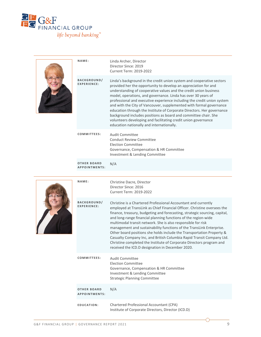

|  | NAME:                                      | Linda Archer, Director<br>Director Since: 2019<br><b>Current Term: 2019-2022</b>                                                                                                                                                                                                                                                                                                                                                                                                                                                                                                                                                                                                                                 |
|--|--------------------------------------------|------------------------------------------------------------------------------------------------------------------------------------------------------------------------------------------------------------------------------------------------------------------------------------------------------------------------------------------------------------------------------------------------------------------------------------------------------------------------------------------------------------------------------------------------------------------------------------------------------------------------------------------------------------------------------------------------------------------|
|  | <b>BACKGROUND/</b><br><b>EXPERIENCE:</b>   | Linda's background in the credit union system and cooperative sectors<br>provided her the opportunity to develop an appreciation for and<br>understanding of cooperative values and the credit union business<br>model, operations, and governance. Linda has over 30 years of<br>professional and executive experience including the credit union system<br>and with the City of Vancouver, supplemented with formal governance<br>education through the Institute of Corporate Directors. Her governance<br>background includes positions as board and committee chair. She<br>volunteers developing and facilitating credit union governance<br>education nationally and internationally.                     |
|  | COMMITTEES:                                | <b>Audit Committee</b><br><b>Conduct Review Committee</b><br><b>Election Committee</b><br>Governance, Compensation & HR Committee<br>Investment & Lending Committee                                                                                                                                                                                                                                                                                                                                                                                                                                                                                                                                              |
|  | <b>OTHER BOARD</b><br>APPOINTMENTS:        | N/A                                                                                                                                                                                                                                                                                                                                                                                                                                                                                                                                                                                                                                                                                                              |
|  | NAME:                                      | Christine Dacre, Director<br>Director Since: 2016<br><b>Current Term: 2019-2022</b>                                                                                                                                                                                                                                                                                                                                                                                                                                                                                                                                                                                                                              |
|  | <b>BACKGROUND/</b><br><b>EXPERIENCE:</b>   | Christine is a Chartered Professional Accountant and currently<br>employed at TransLink as Chief Financial Officer. Christine oversees the<br>finance, treasury, budgeting and forecasting, strategic sourcing, capital,<br>and long-range financial planning functions of the region-wide<br>multimodal transit network. She is also responsible for risk<br>management and sustainability functions of the TransLink Enterprise.<br>Other board positions she holds include the Transportation Property &<br>Casualty Company Inc, and British Columbia Rapid Transit Company Ltd.<br>Christine completed the Institute of Corporate Directors program and<br>received the ICD.D designation in December 2020. |
|  | COMMITTEES:                                | <b>Audit Committee</b><br><b>Election Committee</b><br>Governance, Compensation & HR Committee<br>Investment & Lending Committee<br><b>Strategic Planning Committee</b>                                                                                                                                                                                                                                                                                                                                                                                                                                                                                                                                          |
|  | <b>OTHER BOARD</b><br><b>APPOINTMENTS:</b> | N/A                                                                                                                                                                                                                                                                                                                                                                                                                                                                                                                                                                                                                                                                                                              |
|  | EDUCATION:                                 | Chartered Professional Accountant (CPA)                                                                                                                                                                                                                                                                                                                                                                                                                                                                                                                                                                                                                                                                          |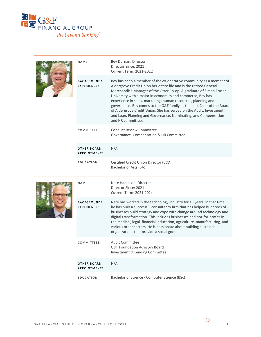

|  | NAME:                                      | Bev Dornan, Director<br>Director Since: 2021<br><b>Current Term: 2021-2022</b>                                                                                                                                                                                                                                                                                                                                                                                                                                                                                                          |
|--|--------------------------------------------|-----------------------------------------------------------------------------------------------------------------------------------------------------------------------------------------------------------------------------------------------------------------------------------------------------------------------------------------------------------------------------------------------------------------------------------------------------------------------------------------------------------------------------------------------------------------------------------------|
|  | <b>BACKGROUND/</b><br><b>EXPERIENCE:</b>   | Bev has been a member of the co-operative community as a member of<br>Aldergrove Credit Union her entire life and is the retired General<br>Merchandise Manager of the Otter Co-op. A graduate of Simon Fraser<br>University with a major in economics and commerce, Bev has<br>experience in sales, marketing, human resources, planning and<br>governance. Bev comes to the G&F family as the past Chair of the Board<br>of Aldergrove Credit Union. She has served on the Audit, Investment<br>and Loan, Planning and Governance, Nominating, and Compensation<br>and HR committees. |
|  | COMMITTEES:                                | <b>Conduct Review Committee</b><br>Governance, Compensation & HR Committee                                                                                                                                                                                                                                                                                                                                                                                                                                                                                                              |
|  | <b>OTHER BOARD</b><br>APPOINTMENTS:        | N/A                                                                                                                                                                                                                                                                                                                                                                                                                                                                                                                                                                                     |
|  | EDUCATION:                                 | Certified Credit Union Director (CCD)<br>Bachelor of Arts (BA)                                                                                                                                                                                                                                                                                                                                                                                                                                                                                                                          |
|  |                                            |                                                                                                                                                                                                                                                                                                                                                                                                                                                                                                                                                                                         |
|  | NAME:                                      | Nate Hampson, Director<br>Director Since: 2021<br><b>Current Term: 2021-2024</b>                                                                                                                                                                                                                                                                                                                                                                                                                                                                                                        |
|  | <b>BACKGROUND/</b><br><b>EXPERIENCE:</b>   | Nate has worked in the technology industry for 15 years. In that time,<br>he has built a successful consultancy firm that has helped hundreds of<br>businesses build strategy and cope with change around technology and<br>digital transformation. This includes businesses and not-for-profits in<br>the medical, legal, financial, education, agriculture, manufacturing, and<br>various other sectors. He is passionate about building sustainable<br>organizations that provide a social good.                                                                                     |
|  | COMMITTEES:                                | <b>Audit Committee</b><br>G&F Foundation Advisory Board<br>Investment & Lending Committee                                                                                                                                                                                                                                                                                                                                                                                                                                                                                               |
|  | <b>OTHER BOARD</b><br><b>APPOINTMENTS:</b> | N/A                                                                                                                                                                                                                                                                                                                                                                                                                                                                                                                                                                                     |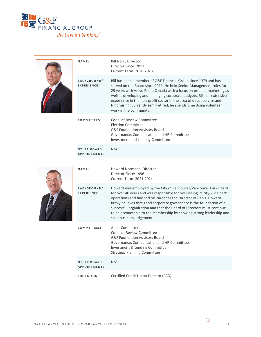

|  | NAME:                               | Bill Nohr, Director<br>Director Since: 2011<br><b>Current Term: 2020-2023</b>                                                                                                                                                                                                                                                                                                                                                                                       |
|--|-------------------------------------|---------------------------------------------------------------------------------------------------------------------------------------------------------------------------------------------------------------------------------------------------------------------------------------------------------------------------------------------------------------------------------------------------------------------------------------------------------------------|
|  | BACKGROUND/<br><b>EXPERIENCE:</b>   | Bill has been a member of G&F Financial Group since 1979 and has<br>served on the Board since 2011. He held Senior Management roles for<br>25 years with Volvo Penta Canada with a focus on product marketing as<br>well as developing and managing corporate budgets. Bill has extensive<br>experience in the non-profit sector in the area of direct service and<br>fundraising. Currently semi-retired, he spends time doing volunteer<br>work in the community. |
|  | COMMITTEES:                         | <b>Conduct Review Committee</b><br><b>Election Committee</b><br>G&F Foundation Advisory Board<br>Governance, Compensation and HR Committee<br>Investment and Lending Committee                                                                                                                                                                                                                                                                                      |
|  | <b>OTHER BOARD</b><br>APPOINTMENTS: | N/A                                                                                                                                                                                                                                                                                                                                                                                                                                                                 |
|  | NAME:                               | Howard Normann, Director<br>Director Since: 1996<br><b>Current Term: 2021-2024</b>                                                                                                                                                                                                                                                                                                                                                                                  |
|  | BACKGROUND/<br>EXPERIENCE:          | Howard was employed by the City of Vancouver/Vancouver Park Board<br>for over 40 years and was responsible for overseeing its city-wide park                                                                                                                                                                                                                                                                                                                        |
|  |                                     | operations and finished his career as the Director of Parks. Howard<br>firmly believes that good corporate governance is the foundation of a<br>successful organization and that the Board of Directors must continue<br>to be accountable to the membership by showing strong leadership and<br>solid business judgement.                                                                                                                                          |
|  | COMMITTEES:                         | <b>Audit Committee</b><br>Conduct Review Committee<br>G&F Foundation Advisory Board<br>Governance, Compensation and HR Committee<br>Investment & Lending Committee<br><b>Strategic Planning Committee</b>                                                                                                                                                                                                                                                           |
|  | <b>OTHER BOARD</b><br>APPOINTMENTS: | N/A                                                                                                                                                                                                                                                                                                                                                                                                                                                                 |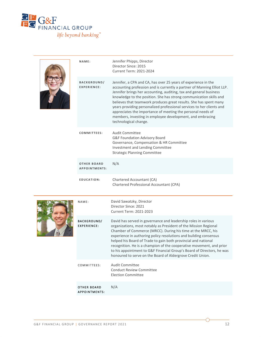

| NAME:                                      | Jennifer Phipps, Director<br>Director Since: 2015<br>Current Term: 2021-2024                                                                                                                                                                                                                                                                                                                                                                                                                                                                                                             |
|--------------------------------------------|------------------------------------------------------------------------------------------------------------------------------------------------------------------------------------------------------------------------------------------------------------------------------------------------------------------------------------------------------------------------------------------------------------------------------------------------------------------------------------------------------------------------------------------------------------------------------------------|
| <b>BACKGROUND/</b><br>EXPERIENCE:          | Jennifer, a CPA and CA, has over 25 years of experience in the<br>accounting profession and is currently a partner of Manning Elliot LLP.<br>Jennifer brings her accounting, auditing, tax and general business<br>knowledge to the position. She has strong communication skills and<br>believes that teamwork produces great results. She has spent many<br>years providing personalized professional services to her clients and<br>appreciates the importance of meeting the personal needs of<br>members, investing in employee development, and embracing<br>technological change. |
| COMMITTEES:                                | Audit Committee<br>G&F Foundation Advisory Board<br>Governance, Compensation & HR Committee<br>Investment and Lending Committee<br><b>Strategic Planning Committee</b>                                                                                                                                                                                                                                                                                                                                                                                                                   |
| <b>OTHER BOARD</b><br><b>APPOINTMENTS:</b> | N/A                                                                                                                                                                                                                                                                                                                                                                                                                                                                                                                                                                                      |
| EDUCATION:                                 | Chartered Accountant (CA)<br>Chartered Professional Accountant (CPA)                                                                                                                                                                                                                                                                                                                                                                                                                                                                                                                     |

|  | NAME:                                      | David Sawatzky, Director<br>Director Since: 2021<br>Current Term: 2021-2023                                                                                                                                                                                                                                                                                                                                                                                                                                                                               |
|--|--------------------------------------------|-----------------------------------------------------------------------------------------------------------------------------------------------------------------------------------------------------------------------------------------------------------------------------------------------------------------------------------------------------------------------------------------------------------------------------------------------------------------------------------------------------------------------------------------------------------|
|  | <b>BACKGROUND/</b><br><b>EXPERIENCE:</b>   | David has served in governance and leadership roles in various<br>organizations, most notably as President of the Mission Regional<br>Chamber of Commerce (MRCC). During his time at the MRCC, his<br>experience in authoring policy resolutions and building consensus<br>helped his Board of Trade to gain both provincial and national<br>recognition. He is a champion of the cooperative movement, and prior<br>to his appointment to G&F Financial Group's Board of Directors, he was<br>honoured to serve on the Board of Aldergrove Credit Union. |
|  | COMMITTEES:                                | Audit Committee<br>Conduct Review Committee<br>Election Committee                                                                                                                                                                                                                                                                                                                                                                                                                                                                                         |
|  | <b>OTHER BOARD</b><br><b>APPOINTMENTS:</b> | N/A                                                                                                                                                                                                                                                                                                                                                                                                                                                                                                                                                       |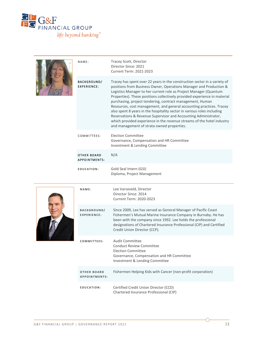

|  | NAME:                                      | Tracey Scott, Director<br>Director Since: 2021<br><b>Current Term: 2021-2023</b>                                                                                                                                                                                                                                                                                                                                                                                                                                                                                                                                                                                                                             |
|--|--------------------------------------------|--------------------------------------------------------------------------------------------------------------------------------------------------------------------------------------------------------------------------------------------------------------------------------------------------------------------------------------------------------------------------------------------------------------------------------------------------------------------------------------------------------------------------------------------------------------------------------------------------------------------------------------------------------------------------------------------------------------|
|  | <b>BACKGROUND/</b><br><b>EXPERIENCE:</b>   | Tracey has spent over 22 years in the construction sector in a variety of<br>positions from Business Owner, Operations Manager and Production &<br>Logistics Manager to her current role as Project Manager (Quantum<br>Properties). These positions collectively provided experience in material<br>purchasing, project tendering, contract management, Human<br>Resources, cost management, and general accounting practices. Tracey<br>also spent 8 years in the hospitality sector in various roles including<br>Reservations & Revenue Supervisor and Accounting Administrator,<br>which provided experience in the revenue streams of the hotel industry<br>and management of strata owned properties. |
|  | COMMITTEES:                                | <b>Election Committee</b><br>Governance, Compensation and HR Committee<br>Investment & Lending Committee                                                                                                                                                                                                                                                                                                                                                                                                                                                                                                                                                                                                     |
|  | <b>OTHER BOARD</b><br><b>APPOINTMENTS:</b> | N/A                                                                                                                                                                                                                                                                                                                                                                                                                                                                                                                                                                                                                                                                                                          |
|  | EDUCATION:                                 | Gold Seal Intern (GSI)<br>Diploma, Project Management                                                                                                                                                                                                                                                                                                                                                                                                                                                                                                                                                                                                                                                        |
|  | NAME:                                      | Lee Varseveld, Director<br>Director Since: 2014<br><b>Current Term: 2020-2023</b>                                                                                                                                                                                                                                                                                                                                                                                                                                                                                                                                                                                                                            |
|  | <b>BACKGROUND/</b><br><b>EXPERIENCE:</b>   | Since 2009, Lee has served as General Manager of Pacific Coast<br>Fishermen's Mutual Marine Insurance Company in Burnaby. He has<br>been with the company since 1992. Lee holds the professional<br>designations of Chartered Insurance Professional (CIP) and Certified<br>Credit Union Director (CCP).                                                                                                                                                                                                                                                                                                                                                                                                     |
|  | COMMITTEES:                                | <b>Audit Committee</b><br><b>Conduct Review Committee</b><br><b>Election Committee</b><br>Governance, Compensation and HR Committee<br>Investment & Lending Committee                                                                                                                                                                                                                                                                                                                                                                                                                                                                                                                                        |
|  |                                            |                                                                                                                                                                                                                                                                                                                                                                                                                                                                                                                                                                                                                                                                                                              |
|  | <b>OTHER BOARD</b><br>APPOINTMENTS:        | Fishermen Helping Kids with Cancer (non-profit corporation)                                                                                                                                                                                                                                                                                                                                                                                                                                                                                                                                                                                                                                                  |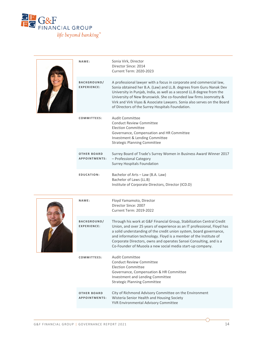

|  | NAME:                                      | Sonia Virk, Director<br>Director Since: 2014<br><b>Current Term: 2020-2023</b>                                                                                                                                                                                                                                                                                                                                                  |
|--|--------------------------------------------|---------------------------------------------------------------------------------------------------------------------------------------------------------------------------------------------------------------------------------------------------------------------------------------------------------------------------------------------------------------------------------------------------------------------------------|
|  | <b>BACKGROUND/</b><br><b>EXPERIENCE:</b>   | A professional lawyer with a focus in corporate and commercial law,<br>Sonia obtained her B.A. (Law) and LL.B. degrees from Guru Nanak Dev<br>University in Punjab, India, as well as a second LL.B degree from the<br>University of New Brunswick. She co-founded law firms Joomratty &<br>Virk and Virk Viyas & Associate Lawyers. Sonia also serves on the Board<br>of Directors of the Surrey Hospitals Foundation.         |
|  | COMMITTEES:                                | <b>Audit Committee</b><br><b>Conduct Review Committee</b><br><b>Election Committee</b><br>Governance, Compensation and HR Committee<br>Investment & Lending Committee<br><b>Strategic Planning Committee</b>                                                                                                                                                                                                                    |
|  | <b>OTHER BOARD</b><br><b>APPOINTMENTS:</b> | Surrey Board of Trade's Surrey Women in Business Award Winner 2017<br>- Professional Category<br><b>Surrey Hospitals Foundation</b>                                                                                                                                                                                                                                                                                             |
|  | EDUCATION:                                 | Bachelor of Arts - Law (B.A. Law)<br>Bachelor of Laws (LL.B)<br>Institute of Corporate Directors, Director (ICD.D)                                                                                                                                                                                                                                                                                                              |
|  | NAME:                                      | Floyd Yamamoto, Director<br>Director Since: 2007<br><b>Current Term: 2019-2022</b>                                                                                                                                                                                                                                                                                                                                              |
|  | <b>BACKGROUND/</b><br><b>EXPERIENCE:</b>   | Through his work at G&F Financial Group, Stabilization Central Credit<br>Union, and over 25 years of experience as an IT professional, Floyd has<br>a solid understanding of the credit union system, board governance,<br>and information technology. Floyd is a member of the Institute of<br>Corporate Directors, owns and operates Sansei Consulting, and is a<br>Co-Founder of Muoola a new social media start-up company. |
|  | COMMITTEES:                                | <b>Audit Committee</b><br><b>Conduct Review Committee</b><br><b>Election Committee</b><br>Governance, Compensation & HR Committee<br>Investment and Lending Committee<br><b>Strategic Planning Committee</b>                                                                                                                                                                                                                    |
|  | <b>OTHER BOARD</b><br>APPOINTMENTS:        | City of Richmond Advisory Committee on the Environment<br>Wisteria Senior Health and Housing Society<br>YVR Environmental Advisory Committee                                                                                                                                                                                                                                                                                    |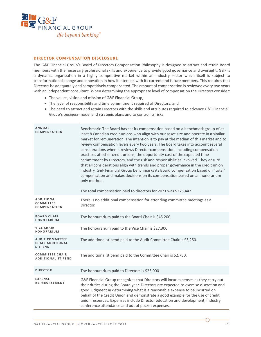

#### **DIRECTOR COMPENSATION DISCLOSURE**

The G&F Financial Group's Board of Directors Compensation Philosophy is designed to attract and retain Board members with the necessary professional skills and experience to provide good governance and oversight. G&F is a dynamic organization in a highly competitive market within an industry sector which itself is subject to transformational change and innovation in how it interacts with its current and future members. This requires that Directors be adequately and competitively compensated. The amount of compensation is reviewed every two years with an independent consultant. When determining the appropriate level of compensation the Directors consider:

- The values, vision and mission of G&F Financial Group,
- The level of responsibility and time commitment required of Directors, and
- The need to attract and retain Directors with the skills and attributes required to advance G&F Financial Group's business model and strategic plans and to control its risks

| ANNUAL<br><b>COMPENSATION</b>                                       | Benchmark: The Board has set its compensation based on a benchmark group of at<br>least 8 Canadian credit unions who align with our asset size and operate in a similar<br>market for remuneration. The intention is to pay at the median of this market and to<br>review compensation levels every two years. The Board takes into account several<br>considerations when it reviews Director compensation, including compensation<br>practices at other credit unions, the opportunity cost of the expected time<br>commitment by Directors, and the risk and responsibilities involved. They ensure<br>that all considerations align with trends and proper governance in the credit union<br>industry. G&F Financial Group benchmarks its Board compensation based on "total"<br>compensation and makes decisions on its compensation based on an honorarium<br>only method.<br>The total compensation paid to directors for 2021 was \$275,447. |
|---------------------------------------------------------------------|------------------------------------------------------------------------------------------------------------------------------------------------------------------------------------------------------------------------------------------------------------------------------------------------------------------------------------------------------------------------------------------------------------------------------------------------------------------------------------------------------------------------------------------------------------------------------------------------------------------------------------------------------------------------------------------------------------------------------------------------------------------------------------------------------------------------------------------------------------------------------------------------------------------------------------------------------|
| <b>ADDITIONAL</b><br><b>COMMITTEE</b><br><b>COMPENSATION</b>        | There is no additional compensation for attending committee meetings as a<br>Director.                                                                                                                                                                                                                                                                                                                                                                                                                                                                                                                                                                                                                                                                                                                                                                                                                                                               |
| <b>BOARD CHAIR</b><br>HONORARIUM                                    | The honourarium paid to the Board Chair is \$45,200                                                                                                                                                                                                                                                                                                                                                                                                                                                                                                                                                                                                                                                                                                                                                                                                                                                                                                  |
| <b>VICE CHAIR</b><br>HONORARIUM                                     | The honourarium paid to the Vice Chair is \$27,300                                                                                                                                                                                                                                                                                                                                                                                                                                                                                                                                                                                                                                                                                                                                                                                                                                                                                                   |
| <b>AUDIT COMMITTEE</b><br><b>CHAIR ADDITIONAL</b><br><b>STIPEND</b> | The additional stipend paid to the Audit Committee Chair is \$3,250.                                                                                                                                                                                                                                                                                                                                                                                                                                                                                                                                                                                                                                                                                                                                                                                                                                                                                 |
| <b>COMMITTEE CHAIR</b><br><b>ADDITIONAL STIPEND</b>                 | The additional stipend paid to the Committee Chair is \$2,750.                                                                                                                                                                                                                                                                                                                                                                                                                                                                                                                                                                                                                                                                                                                                                                                                                                                                                       |
| <b>DIRECTOR</b>                                                     | The honourarium paid to Directors is \$23,000                                                                                                                                                                                                                                                                                                                                                                                                                                                                                                                                                                                                                                                                                                                                                                                                                                                                                                        |
| <b>EXPENSE</b><br><b>REIMBURSEMENT</b>                              | G&F Financial Group recognizes that Directors will incur expenses as they carry out<br>their duties during the Board year. Directors are expected to exercise discretion and<br>good judgment in determining what is a reasonable expense to be incurred on<br>behalf of the Credit Union and demonstrate a good example for the use of credit<br>union resources. Expenses include Director education and development, industry<br>conference attendance and out of pocket expenses.                                                                                                                                                                                                                                                                                                                                                                                                                                                                |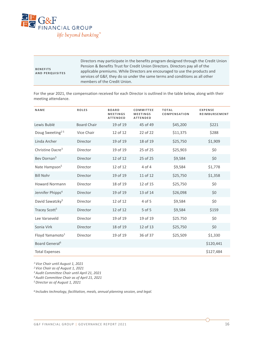

| <b>BENEFITS</b><br><b>AND PERQUISITES</b> | Directors may participate in the benefits program designed through the Credit Union<br>Pension & Benefits Trust for Credit Union Directors. Directors pay all of the<br>applicable premiums. While Directors are encouraged to use the products and<br>services of G&F, they do so under the same terms and conditions as all other<br>members of the Credit Union. |
|-------------------------------------------|---------------------------------------------------------------------------------------------------------------------------------------------------------------------------------------------------------------------------------------------------------------------------------------------------------------------------------------------------------------------|
|-------------------------------------------|---------------------------------------------------------------------------------------------------------------------------------------------------------------------------------------------------------------------------------------------------------------------------------------------------------------------------------------------------------------------|

For the year 2021, the compensation received for each Director is outlined in the table below, along with their meeting attendance.

| NAME                         | <b>ROLES</b>       | <b>BOARD</b><br><b>MEETINGS</b><br><b>ATTENDED</b> | COMMITTEE<br><b>MEETINGS</b><br><b>ATTENDED</b> | <b>TOTAL</b><br>COMPENSATION | <b>EXPENSE</b><br><b>REIMBURSEMENT</b> |
|------------------------------|--------------------|----------------------------------------------------|-------------------------------------------------|------------------------------|----------------------------------------|
| Lewis Bublé                  | <b>Board Chair</b> | 19 of 19                                           | 45 of 49                                        | \$45,200                     | \$221                                  |
| Doug Sweeting <sup>25</sup>  | Vice Chair         | 12 of 12                                           | 22 of 22                                        | \$11,375                     | \$288                                  |
| Linda Archer                 | <b>Director</b>    | 19 of 19                                           | 18 of 19                                        | \$25,750                     | \$1,909                                |
| Christine Dacre <sup>3</sup> | Director           | 19 of 19                                           | 25 of 25                                        | \$25,903                     | \$0                                    |
| Bev Dornan <sup>5</sup>      | Director           | 12 of 12                                           | 25 of 25                                        | \$9,584                      | \$0                                    |
| Nate Hampson <sup>5</sup>    | Director           | 12 of 12                                           | 4 of 4                                          | \$9,584                      | \$1,778                                |
| <b>Bill Nohr</b>             | Director           | 19 of 19                                           | 11 of 12                                        | \$25,750                     | \$1,358                                |
| <b>Howard Normann</b>        | Director           | 18 of 19                                           | 12 of 15                                        | \$25,750                     | \$0                                    |
| Jennifer Phipps <sup>4</sup> | Director           | 19 of 19                                           | 13 of 14                                        | \$26,098                     | \$0                                    |
| David Sawatzky <sup>5</sup>  | Director           | 12 of 12                                           | 4 of 5                                          | \$9,584                      | \$0                                    |
| Tracey Scott <sup>5</sup>    | Director           | 12 of 12                                           | 5 of 5                                          | \$9,584                      | \$159                                  |
| Lee Varseveld                | Director           | 19 of 19                                           | 19 of 19                                        | \$25.750                     | \$0                                    |
| Sonia Virk                   | Director           | 18 of 19                                           | 12 of 13                                        | \$25,750                     | \$0                                    |
| Floyd Yamamoto <sup>1</sup>  | Director           | 19 of 19                                           | 36 of 37                                        | \$25,509                     | \$1,330                                |
| Board General <sup>6</sup>   |                    |                                                    |                                                 |                              | \$120,441                              |
| <b>Total Expenses</b>        |                    |                                                    |                                                 |                              | \$127,484                              |

*<sup>1</sup> Vice Chair until August 1, 2021*

*<sup>2</sup> Vice Chair as of August 1, 2021*

*3Audit Committee Chair until April 21, 2021*

*4Audit Committee Chair as of April 21, 2021*

*5Director as of August 1, 2021*

*6 Includes technology, facilitation, meals, annual planning session, and legal.*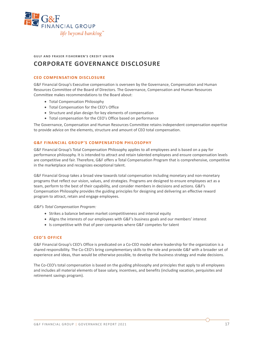

**GULF AND FRASER FISHERMEN'S CREDIT UNION**

## **CORPORATE GOVERNANCE DISCLOSURE**

#### **CEO COMPENSATION DISCLOSURE**

G&F Financial Group's Executive compensation is overseen by the Governance, Compensation and Human Resources Committee of the Board of Directors. The Governance, Compensation and Human Resources Committee makes recommendations to the Board about:

- Total Compensation Philosophy
- Total Compensation for the CEO's Office
- Structure and plan design for key elements of compensation
- Total compensation for the CEO's Office based on performance

The Governance, Compensation and Human Resources Committee retains independent compensation expertise to provide advice on the elements, structure and amount of CEO total compensation.

#### **G&F FINANCIAL GROUP'S COMPENSATION PHILOSOPHY**

G&F Financial Group's Total Compensation Philosophy applies to all employees and is based on a pay for performance philosophy. It is intended to attract and retain talented employees and ensure compensation levels are competitive and fair. Therefore, G&F offers a Total Compensation Program that is comprehensive, competitive in the marketplace and recognizes exceptional talent.

G&F Financial Group takes a broad view towards total compensation including monetary and non-monetary programs that reflect our vision, values, and strategies. Programs are designed to ensure employees act as a team, perform to the best of their capability, and consider members in decisions and actions. G&F's Compensation Philosophy provides the guiding principles for designing and delivering an effective reward program to attract, retain and engage employees.

*G&F's Total Compensation Program:* 

- Strikes a balance between market competitiveness and internal equity
- Aligns the interests of our employees with G&F's business goals and our members' interest
- Is competitive with that of peer companies where G&F competes for talent

#### **CEO'S OFFICE**

G&F Financial Group's CEO's Office is predicated on a Co-CEO model where leadership for the organization is a shared responsibility. The Co-CEO's bring complementary skills to the role and provide G&F with a broader set of experience and ideas, than would be otherwise possible, to develop the business strategy and make decisions.

The Co-CEO's total compensation is based on the guiding philosophy and principles that apply to all employees and includes all material elements of base salary, incentives, and benefits (including vacation, perquisites and retirement savings program).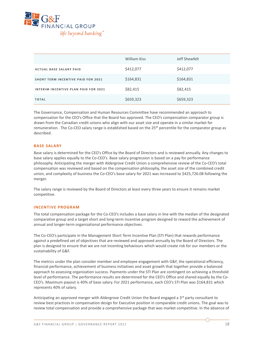

|                                           | William Kiss | Jeff Shewfelt |
|-------------------------------------------|--------------|---------------|
| <b>ACTUAL BASE SALARY PAID</b>            | \$412,077    | \$412,077     |
| <b>SHORT TERM INCENTIVE PAID FOR 2021</b> | \$164,831    | \$164,831     |
| INTERIM INCENTIVE PLAN PAID FOR 2021      | \$82,415     | \$82,415      |
| <b>TOTAL</b>                              | \$659,323    | \$659,323     |

The Governance, Compensation and Human Resources Committee have recommended an approach to compensation for the CEO's Office that the Board has approved. The CEO's compensation comparator group is drawn from the Canadian credit unions who align with our asset size and operate in a similar market for remuneration. The Co-CEO salary range is established based on the 25<sup>th</sup> percentile for the comparator group as described.

#### **BASE SALARY**

Base salary is determined for the CEO's Office by the Board of Directors and is reviewed annually. Any changes to base salary applies equally to the Co-CEO's. Base salary progression is based on a pay for performance philosophy. Anticipating the merger with Aldergrove Credit Union a comprehensive review of the Co-CEO's total compensation was reviewed and based on the compensation philosophy, the asset size of the combined credit union, and complexity of business the Co-CEO's base salary for 2021 was increased to \$425,726.08 following the merger.

The salary range is reviewed by the Board of Directors at least every three years to ensure it remains market competitive.

#### **INCENTIVE PROGRAM**

The total compensation package for the Co-CEO's includes a base salary in line with the median of the designated comparative group and a target short and long-term incentive program designed to reward the achievement of annual and longer-term organizational performance objectives.

The Co-CEO's participate in the Management Short Term Incentive Plan (STI Plan) that rewards performance against a predefined set of objectives that are reviewed and approved annually by the Board of Directors. The plan is designed to ensure that we are not incenting behaviours which would create risk for our members or the sustainability of G&F.

The metrics under the plan consider member and employee engagement with G&F, the operational efficiency, financial performance, achievement of business initiatives and asset growth that together provide a balanced approach to assessing organization success. Payments under the STI Plan are contingent on achieving a threshold level of performance. The performance results are determined for the CEO's Office and shared equally by the Co-CEO's. Maximum payout is 40% of base salary. For 2021 performance, each CEO's STI Plan was \$164,831 which represents 40% of salary.

Anticipating an approved merger with Aldergrove Credit Union the Board engaged a 3rd party consultant to review best practices in compensation design for Executive position in comparable credit unions. The goal was to review total compensation and provide a comprehensive package that was market competitive. In the absence of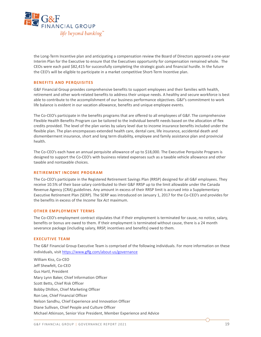

the Long-Term Incentive plan and anticipating a compensation review the Board of Directors approved a one-year Interim Plan for the Executive to ensure that the Executives opportunity for compensation remained whole. The CEOs were each paid \$82,415 for successfully completing the strategic goals and financial hurdle. In the future the CEO's will be eligible to participate in a market competitive Short-Term Incentive plan.

#### **BENEFITS AND PERQUISITES**

G&F Financial Group provides comprehensive benefits to support employees and their families with health, retirement and other work-related benefits to address their unique needs. A healthy and secure workforce is best able to contribute to the accomplishment of our business performance objectives. G&F's commitment to work life balance is evident in our vacation allowance, benefits and unique employee events.

The Co-CEO's participate in the benefits programs that are offered to all employees of G&F. The comprehensive Flexible Health Benefits Program can be tailored to the individual benefit needs based on the allocation of flex credits provided. The level of the plan varies by salary level due to income insurance benefits included under the flexible plan. The plan encompasses extended health care, dental care, life insurance, accidental death and dismemberment insurance, short and long term disability, employee and family assistance plan and provincial health.

The Co-CEO's each have an annual perquisite allowance of up to \$18,000. The Executive Perquisite Program is designed to support the Co-CEO's with business related expenses such as a taxable vehicle allowance and other taxable and nontaxable choices.

#### **RETIREMENT INCOME PROGRAM**

The Co-CEO's participate in the Registered Retirement Savings Plan (RRSP) designed for all G&F employees. They receive 10.5% of their base salary contributed to their G&F RRSP up to the limit allowable under the Canada Revenue Agency (CRA) guidelines. Any amount in excess of their RRSP limit is accrued into a Supplementary Executive Retirement Plan (SERP). The SERP was introduced on January 1, 2017 for the Co-CEO's and provides for the benefits in excess of the *Income Tax Act* maximum.

#### **OTHER EMPLOYMENT TERMS**

The Co-CEO's employment contract stipulates that if their employment is terminated for cause, no notice, salary, benefits or bonus are owed to them. If their employment is terminated without cause, there is a 24 month severance package (including salary, RRSP, incentives and benefits) owed to them.

#### **EXECUTIVE TEAM**

The G&F Financial Group Executive Team is comprised of the following individuals. For more information on these individuals, visit <https://www.gffg.com/about-us/governance>

William Kiss, Co-CEO Jeff Shewfelt, Co-CEO Gus Hartl, President Mary Lynn Baker, Chief Information Officer Scott Betts, Chief Risk Officer Bobby Dhillon, Chief Marketing Officer Ron Lee, Chief Financial Officer Nelson Sandhu, Chief Experience and Innovation Officer Diane Sullivan, Chief People and Culture Officer Michael Atkinson, Senior Vice President, Member Experience and Advice